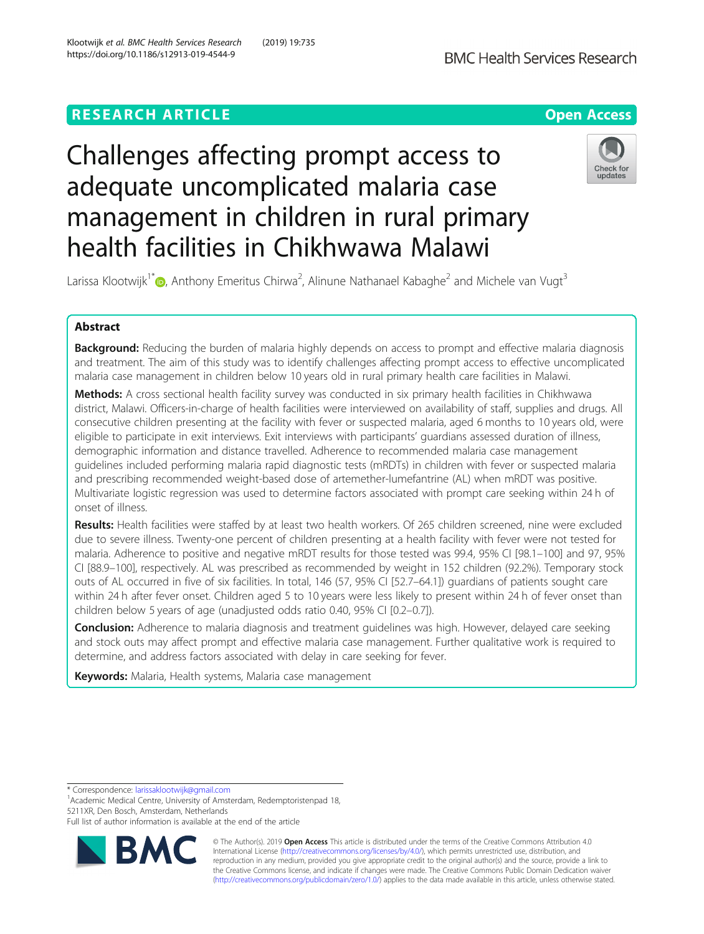# **RESEARCH ARTICLE Example 2014 12:30 The Contract of Contract ACCESS**

# Challenges affecting prompt access to adequate uncomplicated malaria case management in children in rural primary health facilities in Chikhwawa Malawi



Larissa Klootwijk<sup>1[\\*](http://orcid.org/0000-0002-1928-2250)</sup> $\bullet$ , Anthony Emeritus Chirwa<sup>2</sup>, Alinune Nathanael Kabaghe<sup>2</sup> and Michele van Vugt<sup>3</sup>

## Abstract

Background: Reducing the burden of malaria highly depends on access to prompt and effective malaria diagnosis and treatment. The aim of this study was to identify challenges affecting prompt access to effective uncomplicated malaria case management in children below 10 years old in rural primary health care facilities in Malawi.

Methods: A cross sectional health facility survey was conducted in six primary health facilities in Chikhwawa district, Malawi. Officers-in-charge of health facilities were interviewed on availability of staff, supplies and drugs. All consecutive children presenting at the facility with fever or suspected malaria, aged 6 months to 10 years old, were eligible to participate in exit interviews. Exit interviews with participants' guardians assessed duration of illness, demographic information and distance travelled. Adherence to recommended malaria case management guidelines included performing malaria rapid diagnostic tests (mRDTs) in children with fever or suspected malaria and prescribing recommended weight-based dose of artemether-lumefantrine (AL) when mRDT was positive. Multivariate logistic regression was used to determine factors associated with prompt care seeking within 24 h of onset of illness.

Results: Health facilities were staffed by at least two health workers. Of 265 children screened, nine were excluded due to severe illness. Twenty-one percent of children presenting at a health facility with fever were not tested for malaria. Adherence to positive and negative mRDT results for those tested was 99.4, 95% CI [98.1–100] and 97, 95% CI [88.9–100], respectively. AL was prescribed as recommended by weight in 152 children (92.2%). Temporary stock outs of AL occurred in five of six facilities. In total, 146 (57, 95% CI [52.7–64.1]) guardians of patients sought care within 24 h after fever onset. Children aged 5 to 10 years were less likely to present within 24 h of fever onset than children below 5 years of age (unadjusted odds ratio 0.40, 95% CI [0.2–0.7]).

**Conclusion:** Adherence to malaria diagnosis and treatment quidelines was high. However, delayed care seeking and stock outs may affect prompt and effective malaria case management. Further qualitative work is required to determine, and address factors associated with delay in care seeking for fever.

Keywords: Malaria, Health systems, Malaria case management

\* Correspondence: [larissaklootwijk@gmail.com](mailto:larissaklootwijk@gmail.com) <sup>1</sup>

<sup>1</sup> Academic Medical Centre, University of Amsterdam, Redemptoristenpad 18, 5211XR, Den Bosch, Amsterdam, Netherlands

Full list of author information is available at the end of the article



© The Author(s). 2019 Open Access This article is distributed under the terms of the Creative Commons Attribution 4.0 International License [\(http://creativecommons.org/licenses/by/4.0/](http://creativecommons.org/licenses/by/4.0/)), which permits unrestricted use, distribution, and reproduction in any medium, provided you give appropriate credit to the original author(s) and the source, provide a link to the Creative Commons license, and indicate if changes were made. The Creative Commons Public Domain Dedication waiver [\(http://creativecommons.org/publicdomain/zero/1.0/](http://creativecommons.org/publicdomain/zero/1.0/)) applies to the data made available in this article, unless otherwise stated.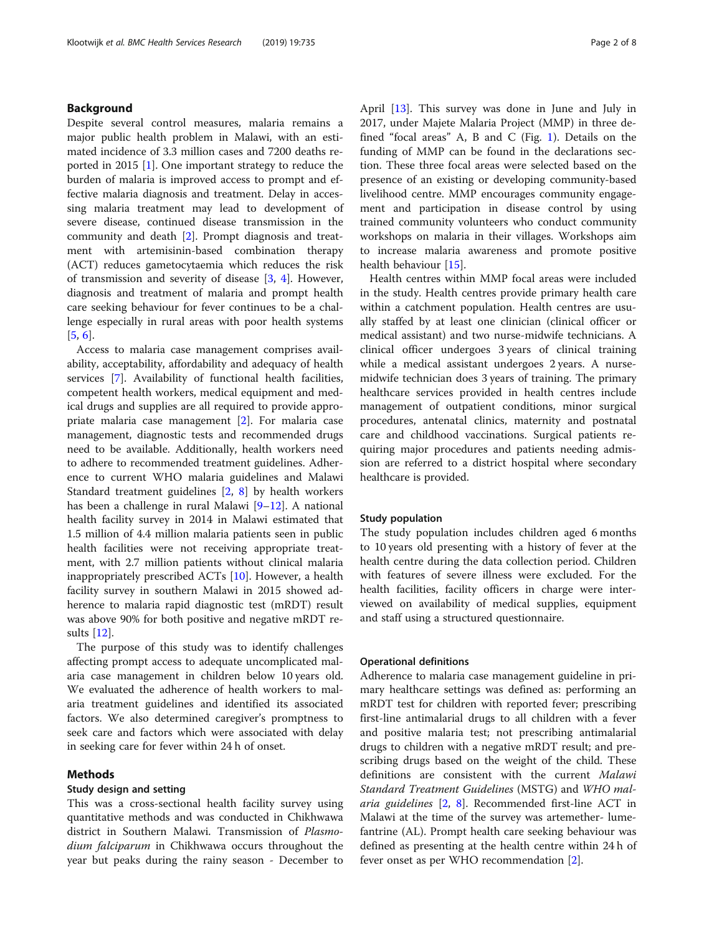#### Background

Despite several control measures, malaria remains a major public health problem in Malawi, with an estimated incidence of 3.3 million cases and 7200 deaths reported in 2015 [\[1](#page-7-0)]. One important strategy to reduce the burden of malaria is improved access to prompt and effective malaria diagnosis and treatment. Delay in accessing malaria treatment may lead to development of severe disease, continued disease transmission in the community and death [\[2](#page-7-0)]. Prompt diagnosis and treatment with artemisinin-based combination therapy (ACT) reduces gametocytaemia which reduces the risk of transmission and severity of disease [\[3](#page-7-0), [4\]](#page-7-0). However, diagnosis and treatment of malaria and prompt health care seeking behaviour for fever continues to be a challenge especially in rural areas with poor health systems [[5,](#page-7-0) [6\]](#page-7-0).

Access to malaria case management comprises availability, acceptability, affordability and adequacy of health services [[7\]](#page-7-0). Availability of functional health facilities, competent health workers, medical equipment and medical drugs and supplies are all required to provide appropriate malaria case management [[2\]](#page-7-0). For malaria case management, diagnostic tests and recommended drugs need to be available. Additionally, health workers need to adhere to recommended treatment guidelines. Adherence to current WHO malaria guidelines and Malawi Standard treatment guidelines [[2](#page-7-0), [8\]](#page-7-0) by health workers has been a challenge in rural Malawi [[9](#page-7-0)–[12](#page-7-0)]. A national health facility survey in 2014 in Malawi estimated that 1.5 million of 4.4 million malaria patients seen in public health facilities were not receiving appropriate treatment, with 2.7 million patients without clinical malaria inappropriately prescribed ACTs [[10](#page-7-0)]. However, a health facility survey in southern Malawi in 2015 showed adherence to malaria rapid diagnostic test (mRDT) result was above 90% for both positive and negative mRDT results [\[12](#page-7-0)].

The purpose of this study was to identify challenges affecting prompt access to adequate uncomplicated malaria case management in children below 10 years old. We evaluated the adherence of health workers to malaria treatment guidelines and identified its associated factors. We also determined caregiver's promptness to seek care and factors which were associated with delay in seeking care for fever within 24 h of onset.

#### Methods

#### Study design and setting

This was a cross-sectional health facility survey using quantitative methods and was conducted in Chikhwawa district in Southern Malawi. Transmission of Plasmodium falciparum in Chikhwawa occurs throughout the year but peaks during the rainy season - December to April [[13\]](#page-7-0). This survey was done in June and July in 2017, under Majete Malaria Project (MMP) in three defined "focal areas" A, B and C (Fig. [1](#page-2-0)). Details on the funding of MMP can be found in the declarations section. These three focal areas were selected based on the presence of an existing or developing community-based livelihood centre. MMP encourages community engagement and participation in disease control by using trained community volunteers who conduct community workshops on malaria in their villages. Workshops aim to increase malaria awareness and promote positive health behaviour [\[15](#page-7-0)].

Health centres within MMP focal areas were included in the study. Health centres provide primary health care within a catchment population. Health centres are usually staffed by at least one clinician (clinical officer or medical assistant) and two nurse-midwife technicians. A clinical officer undergoes 3 years of clinical training while a medical assistant undergoes 2 years. A nursemidwife technician does 3 years of training. The primary healthcare services provided in health centres include management of outpatient conditions, minor surgical procedures, antenatal clinics, maternity and postnatal care and childhood vaccinations. Surgical patients requiring major procedures and patients needing admission are referred to a district hospital where secondary healthcare is provided.

#### Study population

The study population includes children aged 6 months to 10 years old presenting with a history of fever at the health centre during the data collection period. Children with features of severe illness were excluded. For the health facilities, facility officers in charge were interviewed on availability of medical supplies, equipment and staff using a structured questionnaire.

#### Operational definitions

Adherence to malaria case management guideline in primary healthcare settings was defined as: performing an mRDT test for children with reported fever; prescribing first-line antimalarial drugs to all children with a fever and positive malaria test; not prescribing antimalarial drugs to children with a negative mRDT result; and prescribing drugs based on the weight of the child. These definitions are consistent with the current Malawi Standard Treatment Guidelines (MSTG) and WHO malaria guidelines [\[2](#page-7-0), [8\]](#page-7-0). Recommended first-line ACT in Malawi at the time of the survey was artemether- lumefantrine (AL). Prompt health care seeking behaviour was defined as presenting at the health centre within 24 h of fever onset as per WHO recommendation [[2](#page-7-0)].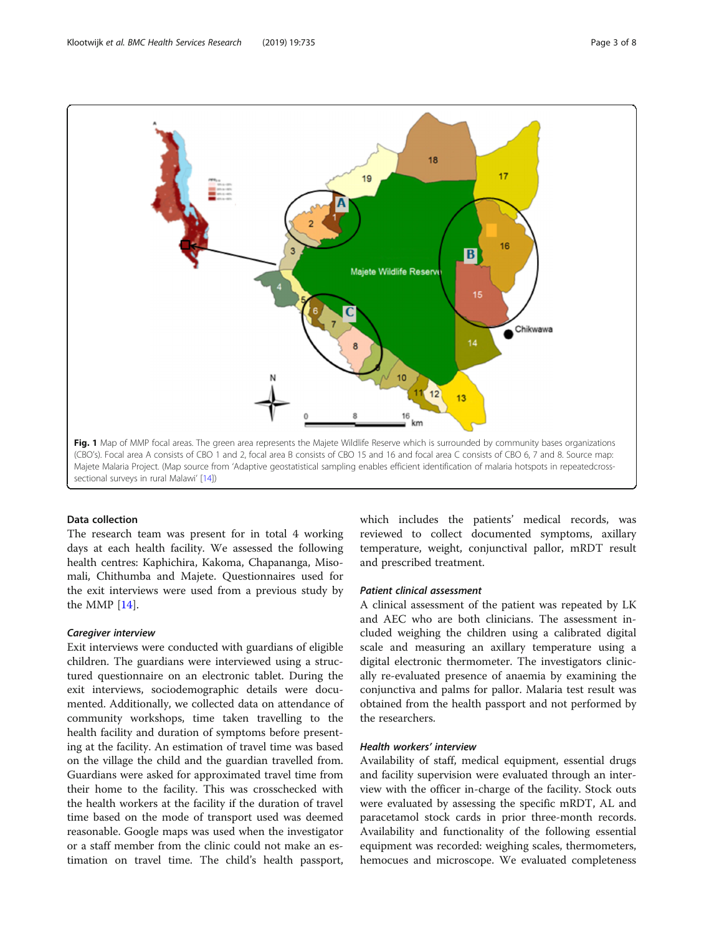<span id="page-2-0"></span>

#### Data collection

The research team was present for in total 4 working days at each health facility. We assessed the following health centres: Kaphichira, Kakoma, Chapananga, Misomali, Chithumba and Majete. Questionnaires used for the exit interviews were used from a previous study by the MMP [\[14](#page-7-0)].

Exit interviews were conducted with guardians of eligible children. The guardians were interviewed using a structured questionnaire on an electronic tablet. During the exit interviews, sociodemographic details were documented. Additionally, we collected data on attendance of community workshops, time taken travelling to the health facility and duration of symptoms before presenting at the facility. An estimation of travel time was based on the village the child and the guardian travelled from. Guardians were asked for approximated travel time from their home to the facility. This was crosschecked with the health workers at the facility if the duration of travel time based on the mode of transport used was deemed reasonable. Google maps was used when the investigator or a staff member from the clinic could not make an estimation on travel time. The child's health passport,

which includes the patients' medical records, was reviewed to collect documented symptoms, axillary temperature, weight, conjunctival pallor, mRDT result and prescribed treatment.

A clinical assessment of the patient was repeated by LK and AEC who are both clinicians. The assessment included weighing the children using a calibrated digital scale and measuring an axillary temperature using a digital electronic thermometer. The investigators clinically re-evaluated presence of anaemia by examining the conjunctiva and palms for pallor. Malaria test result was obtained from the health passport and not performed by the researchers.

### Health workers' interview

Availability of staff, medical equipment, essential drugs and facility supervision were evaluated through an interview with the officer in-charge of the facility. Stock outs were evaluated by assessing the specific mRDT, AL and paracetamol stock cards in prior three-month records. Availability and functionality of the following essential equipment was recorded: weighing scales, thermometers, hemocues and microscope. We evaluated completeness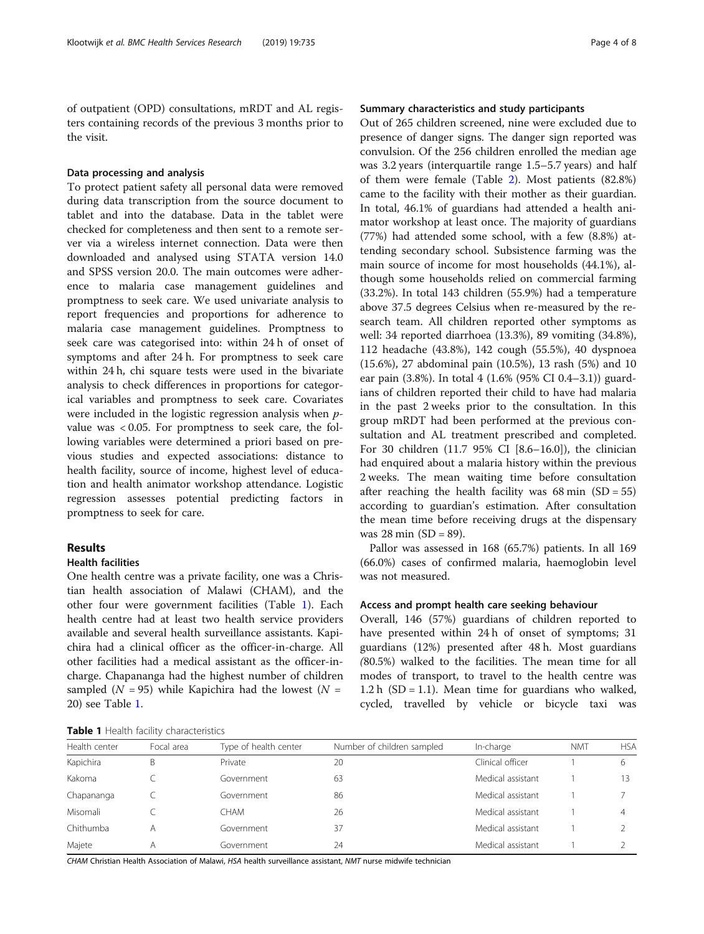of outpatient (OPD) consultations, mRDT and AL registers containing records of the previous 3 months prior to the visit.

#### Data processing and analysis

To protect patient safety all personal data were removed during data transcription from the source document to tablet and into the database. Data in the tablet were checked for completeness and then sent to a remote server via a wireless internet connection. Data were then downloaded and analysed using STATA version 14.0 and SPSS version 20.0. The main outcomes were adherence to malaria case management guidelines and promptness to seek care. We used univariate analysis to report frequencies and proportions for adherence to malaria case management guidelines. Promptness to seek care was categorised into: within 24 h of onset of symptoms and after 24 h. For promptness to seek care within 24 h, chi square tests were used in the bivariate analysis to check differences in proportions for categorical variables and promptness to seek care. Covariates were included in the logistic regression analysis when *p*value was < 0.05. For promptness to seek care, the following variables were determined a priori based on previous studies and expected associations: distance to health facility, source of income, highest level of education and health animator workshop attendance. Logistic regression assesses potential predicting factors in promptness to seek for care.

#### Results

#### Health facilities

One health centre was a private facility, one was a Christian health association of Malawi (CHAM), and the other four were government facilities (Table 1). Each health centre had at least two health service providers available and several health surveillance assistants. Kapichira had a clinical officer as the officer-in-charge. All other facilities had a medical assistant as the officer-incharge. Chapananga had the highest number of children sampled ( $N = 95$ ) while Kapichira had the lowest ( $N =$ 20) see Table 1.

Table 1 Health facility characteristics

### Summary characteristics and study participants

Out of 265 children screened, nine were excluded due to presence of danger signs. The danger sign reported was convulsion. Of the 256 children enrolled the median age was 3.2 years (interquartile range 1.5–5.7 years) and half of them were female (Table [2](#page-4-0)). Most patients (82.8%) came to the facility with their mother as their guardian. In total, 46.1% of guardians had attended a health animator workshop at least once. The majority of guardians (77%) had attended some school, with a few (8.8%) attending secondary school. Subsistence farming was the main source of income for most households (44.1%), although some households relied on commercial farming (33.2%). In total 143 children (55.9%) had a temperature above 37.5 degrees Celsius when re-measured by the research team. All children reported other symptoms as well: 34 reported diarrhoea (13.3%), 89 vomiting (34.8%), 112 headache (43.8%), 142 cough (55.5%), 40 dyspnoea (15.6%), 27 abdominal pain (10.5%), 13 rash (5%) and 10 ear pain (3.8%). In total 4 (1.6% (95% CI 0.4–3.1)) guardians of children reported their child to have had malaria in the past 2 weeks prior to the consultation. In this group mRDT had been performed at the previous consultation and AL treatment prescribed and completed. For 30 children (11.7 95% CI [8.6–16.0]), the clinician had enquired about a malaria history within the previous 2 weeks. The mean waiting time before consultation after reaching the health facility was  $68 \text{ min}$  (SD = 55) according to guardian's estimation. After consultation the mean time before receiving drugs at the dispensary was 28 min  $(SD = 89)$ .

Pallor was assessed in 168 (65.7%) patients. In all 169 (66.0%) cases of confirmed malaria, haemoglobin level was not measured.

#### Access and prompt health care seeking behaviour

Overall, 146 (57%) guardians of children reported to have presented within 24 h of onset of symptoms; 31 guardians (12%) presented after 48 h. Most guardians (80.5%) walked to the facilities. The mean time for all modes of transport, to travel to the health centre was 1.2 h (SD = 1.1). Mean time for guardians who walked, cycled, travelled by vehicle or bicycle taxi was

| Health center | Focal area | Type of health center | Number of children sampled | In-charge         | <b>NMT</b> | <b>HSA</b> |
|---------------|------------|-----------------------|----------------------------|-------------------|------------|------------|
| Kapichira     | В          | Private               | 20                         | Clinical officer  |            |            |
| Kakoma        |            | Government            | 63                         | Medical assistant |            |            |
| Chapananga    |            | Government            | 86                         | Medical assistant |            |            |
| Misomali      |            | СНАМ                  | 26                         | Medical assistant |            |            |
| Chithumba     |            | Government            | 37                         | Medical assistant |            |            |
| Majete        |            | Government            | 24                         | Medical assistant |            |            |

CHAM Christian Health Association of Malawi, HSA health surveillance assistant, NMT nurse midwife technician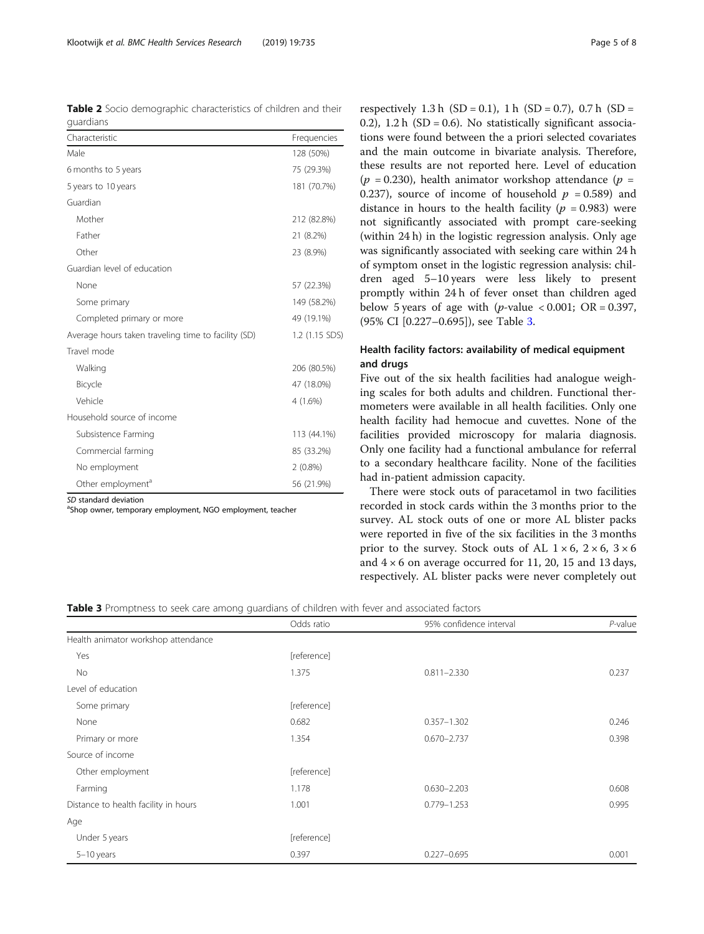<span id="page-4-0"></span>

| <b>Table 2</b> Socio demographic characteristics of children and their |  |  |  |
|------------------------------------------------------------------------|--|--|--|
| quardians                                                              |  |  |  |

| Characteristic                                      | Frequencies    |  |  |
|-----------------------------------------------------|----------------|--|--|
| Male                                                | 128 (50%)      |  |  |
| 6 months to 5 years                                 | 75 (29.3%)     |  |  |
| 5 years to 10 years                                 | 181 (70.7%)    |  |  |
| Guardian                                            |                |  |  |
| Mother                                              | 212 (82.8%)    |  |  |
| Father                                              | 21 (8.2%)      |  |  |
| Other                                               | 23 (8.9%)      |  |  |
| Guardian level of education                         |                |  |  |
| None                                                | 57 (22.3%)     |  |  |
| Some primary                                        | 149 (58.2%)    |  |  |
| Completed primary or more                           | 49 (19.1%)     |  |  |
| Average hours taken traveling time to facility (SD) | 1.2 (1.15 SDS) |  |  |
| Travel mode                                         |                |  |  |
| Walking                                             | 206 (80.5%)    |  |  |
| Bicycle                                             | 47 (18.0%)     |  |  |
| Vehicle                                             | $4(1.6\%)$     |  |  |
| Household source of income                          |                |  |  |
| Subsistence Farming                                 | 113 (44.1%)    |  |  |
| Commercial farming                                  | 85 (33.2%)     |  |  |
| No employment                                       | $2(0.8\%)$     |  |  |
| Other employment <sup>a</sup>                       | 56 (21.9%)     |  |  |

SD standard deviation<br><sup>a</sup>Shop owner, temporary employment, NGO employment, teacher

respectively 1.3 h  $(SD = 0.1)$ , 1 h  $(SD = 0.7)$ , 0.7 h  $(SD = 1)$ 0.2), 1.2 h (SD = 0.6). No statistically significant associations were found between the a priori selected covariates and the main outcome in bivariate analysis. Therefore, these results are not reported here. Level of education ( $p = 0.230$ ), health animator workshop attendance ( $p =$ 0.237), source of income of household  $p = 0.589$  and distance in hours to the health facility ( $p = 0.983$ ) were not significantly associated with prompt care-seeking (within 24 h) in the logistic regression analysis. Only age was significantly associated with seeking care within 24 h of symptom onset in the logistic regression analysis: children aged 5–10 years were less likely to present promptly within 24 h of fever onset than children aged below 5 years of age with (*p*-value < 0.001; OR = 0.397, (95% CI [0.227–0.695]), see Table 3.

## Health facility factors: availability of medical equipment and drugs

Five out of the six health facilities had analogue weighing scales for both adults and children. Functional thermometers were available in all health facilities. Only one health facility had hemocue and cuvettes. None of the facilities provided microscopy for malaria diagnosis. Only one facility had a functional ambulance for referral to a secondary healthcare facility. None of the facilities had in-patient admission capacity.

There were stock outs of paracetamol in two facilities recorded in stock cards within the 3 months prior to the survey. AL stock outs of one or more AL blister packs were reported in five of the six facilities in the 3 months prior to the survey. Stock outs of AL  $1 \times 6$ ,  $2 \times 6$ ,  $3 \times 6$ and  $4 \times 6$  on average occurred for 11, 20, 15 and 13 days, respectively. AL blister packs were never completely out

#### Table 3 Promptness to seek care among guardians of children with fever and associated factors

|                                      | Odds ratio  | 95% confidence interval | $P$ -value |
|--------------------------------------|-------------|-------------------------|------------|
| Health animator workshop attendance  |             |                         |            |
| Yes                                  | [reference] |                         |            |
| No                                   | 1.375       | $0.811 - 2.330$         | 0.237      |
| Level of education                   |             |                         |            |
| Some primary                         | [reference] |                         |            |
| None                                 | 0.682       | $0.357 - 1.302$         | 0.246      |
| Primary or more                      | 1.354       | $0.670 - 2.737$         | 0.398      |
| Source of income                     |             |                         |            |
| Other employment                     | [reference] |                         |            |
| Farming                              | 1.178       | $0.630 - 2.203$         | 0.608      |
| Distance to health facility in hours | 1.001       | $0.779 - 1.253$         | 0.995      |
| Age                                  |             |                         |            |
| Under 5 years                        | [reference] |                         |            |
| 5-10 years                           | 0.397       | $0.227 - 0.695$         | 0.001      |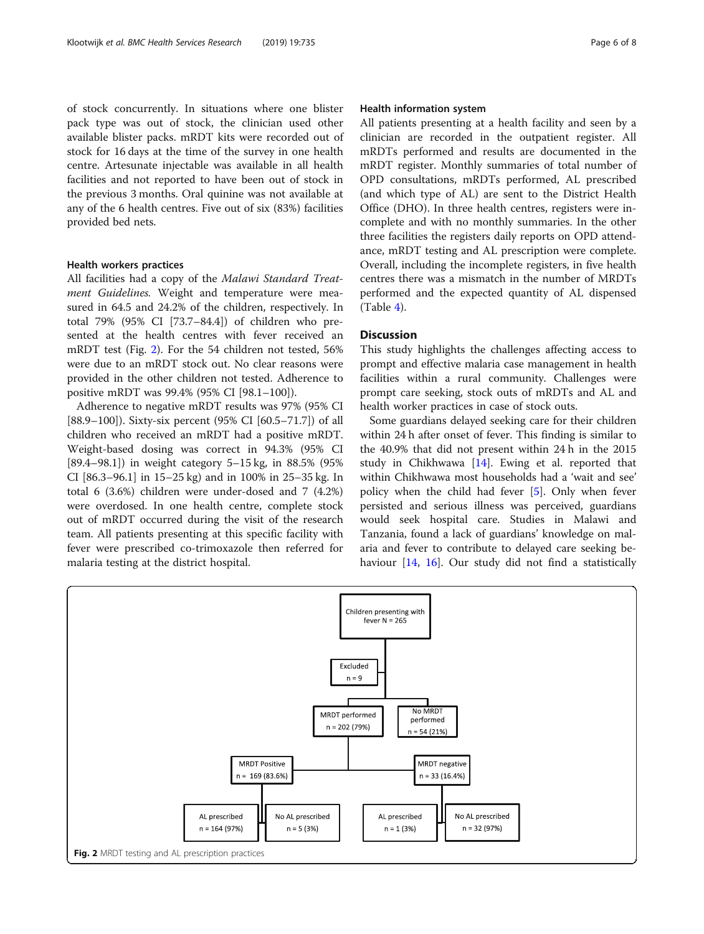of stock concurrently. In situations where one blister pack type was out of stock, the clinician used other available blister packs. mRDT kits were recorded out of stock for 16 days at the time of the survey in one health centre. Artesunate injectable was available in all health facilities and not reported to have been out of stock in the previous 3 months. Oral quinine was not available at any of the 6 health centres. Five out of six (83%) facilities provided bed nets.

#### Health workers practices

All facilities had a copy of the Malawi Standard Treatment Guidelines. Weight and temperature were measured in 64.5 and 24.2% of the children, respectively. In total 79% (95% CI [73.7–84.4]) of children who presented at the health centres with fever received an mRDT test (Fig. 2). For the 54 children not tested, 56% were due to an mRDT stock out. No clear reasons were provided in the other children not tested. Adherence to positive mRDT was 99.4% (95% CI [98.1–100]).

Adherence to negative mRDT results was 97% (95% CI [88.9–100]). Sixty-six percent (95% CI [60.5–71.7]) of all children who received an mRDT had a positive mRDT. Weight-based dosing was correct in 94.3% (95% CI [89.4–98.1]) in weight category 5–15 kg, in 88.5% (95% CI [86.3–96.1] in 15–25 kg) and in 100% in 25–35 kg. In total 6 (3.6%) children were under-dosed and 7 (4.2%) were overdosed. In one health centre, complete stock out of mRDT occurred during the visit of the research team. All patients presenting at this specific facility with fever were prescribed co-trimoxazole then referred for malaria testing at the district hospital.

#### Health information system

All patients presenting at a health facility and seen by a clinician are recorded in the outpatient register. All mRDTs performed and results are documented in the mRDT register. Monthly summaries of total number of OPD consultations, mRDTs performed, AL prescribed (and which type of AL) are sent to the District Health Office (DHO). In three health centres, registers were incomplete and with no monthly summaries. In the other three facilities the registers daily reports on OPD attendance, mRDT testing and AL prescription were complete. Overall, including the incomplete registers, in five health centres there was a mismatch in the number of MRDTs performed and the expected quantity of AL dispensed  $(Table 4)$  $(Table 4)$ .

#### **Discussion**

This study highlights the challenges affecting access to prompt and effective malaria case management in health facilities within a rural community. Challenges were prompt care seeking, stock outs of mRDTs and AL and health worker practices in case of stock outs.

Some guardians delayed seeking care for their children within 24 h after onset of fever. This finding is similar to the 40.9% that did not present within 24 h in the 2015 study in Chikhwawa  $[14]$ . Ewing et al. reported that within Chikhwawa most households had a 'wait and see' policy when the child had fever [[5](#page-7-0)]. Only when fever persisted and serious illness was perceived, guardians would seek hospital care. Studies in Malawi and Tanzania, found a lack of guardians' knowledge on malaria and fever to contribute to delayed care seeking be-haviour [\[14](#page-7-0), [16\]](#page-7-0). Our study did not find a statistically

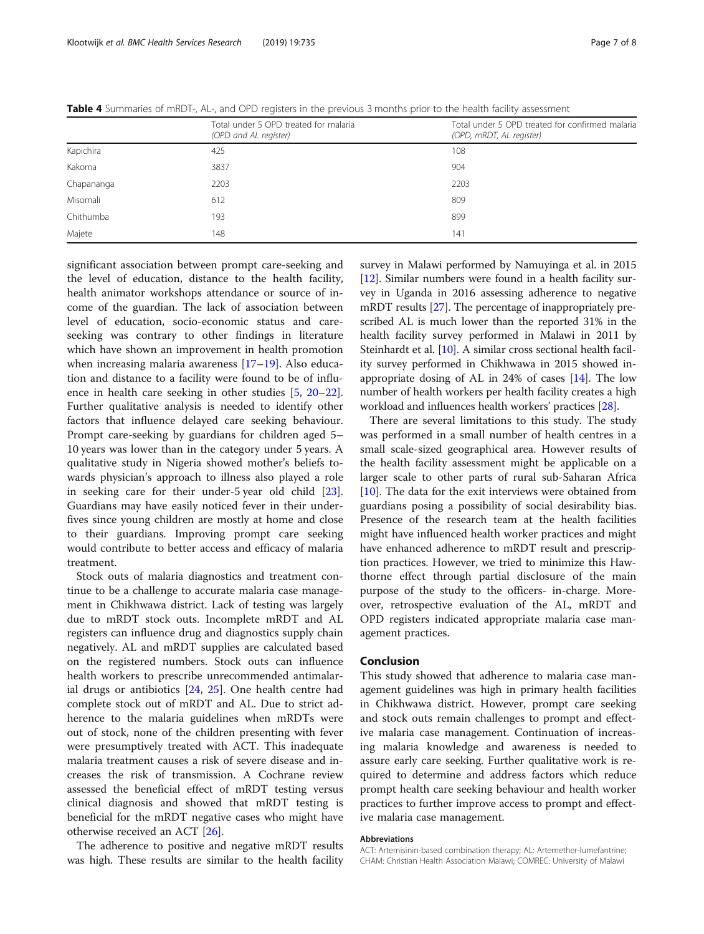|            | Total under 5 OPD treated for malaria<br>(OPD and AL register) | Total under 5 OPD treated for confirmed malaria<br>(OPD, mRDT, AL register) |
|------------|----------------------------------------------------------------|-----------------------------------------------------------------------------|
| Kapichira  | 425                                                            | 108                                                                         |
| Kakoma     | 3837                                                           | 904                                                                         |
| Chapananga | 2203                                                           | 2203                                                                        |
| Misomali   | 612                                                            | 809                                                                         |
| Chithumba  | 193                                                            | 899                                                                         |
| Majete     | 148                                                            | 141                                                                         |

<span id="page-6-0"></span>Table 4 Summaries of mRDT-, AL-, and OPD registers in the previous 3 months prior to the health facility assessment

significant association between prompt care-seeking and the level of education, distance to the health facility, health animator workshops attendance or source of income of the guardian. The lack of association between level of education, socio-economic status and careseeking was contrary to other findings in literature which have shown an improvement in health promotion when increasing malaria awareness [\[17](#page-7-0)–[19](#page-7-0)]. Also education and distance to a facility were found to be of influence in health care seeking in other studies [[5](#page-7-0), [20](#page-7-0)–[22](#page-7-0)]. Further qualitative analysis is needed to identify other factors that influence delayed care seeking behaviour. Prompt care-seeking by guardians for children aged 5– 10 years was lower than in the category under 5 years. A qualitative study in Nigeria showed mother's beliefs towards physician's approach to illness also played a role in seeking care for their under-5 year old child [\[23](#page-7-0)]. Guardians may have easily noticed fever in their underfives since young children are mostly at home and close to their guardians. Improving prompt care seeking would contribute to better access and efficacy of malaria treatment.

Stock outs of malaria diagnostics and treatment continue to be a challenge to accurate malaria case management in Chikhwawa district. Lack of testing was largely due to mRDT stock outs. Incomplete mRDT and AL registers can influence drug and diagnostics supply chain negatively. AL and mRDT supplies are calculated based on the registered numbers. Stock outs can influence health workers to prescribe unrecommended antimalarial drugs or antibiotics [[24,](#page-7-0) [25\]](#page-7-0). One health centre had complete stock out of mRDT and AL. Due to strict adherence to the malaria guidelines when mRDTs were out of stock, none of the children presenting with fever were presumptively treated with ACT. This inadequate malaria treatment causes a risk of severe disease and increases the risk of transmission. A Cochrane review assessed the beneficial effect of mRDT testing versus clinical diagnosis and showed that mRDT testing is beneficial for the mRDT negative cases who might have otherwise received an ACT [\[26](#page-7-0)].

The adherence to positive and negative mRDT results was high. These results are similar to the health facility survey in Malawi performed by Namuyinga et al. in 2015 [[12](#page-7-0)]. Similar numbers were found in a health facility survey in Uganda in 2016 assessing adherence to negative mRDT results [[27](#page-7-0)]. The percentage of inappropriately prescribed AL is much lower than the reported 31% in the health facility survey performed in Malawi in 2011 by Steinhardt et al. [[10](#page-7-0)]. A similar cross sectional health facility survey performed in Chikhwawa in 2015 showed inappropriate dosing of AL in  $24\%$  of cases  $[14]$ . The low number of health workers per health facility creates a high workload and influences health workers' practices [\[28\]](#page-7-0).

There are several limitations to this study. The study was performed in a small number of health centres in a small scale-sized geographical area. However results of the health facility assessment might be applicable on a larger scale to other parts of rural sub-Saharan Africa [[10\]](#page-7-0). The data for the exit interviews were obtained from guardians posing a possibility of social desirability bias. Presence of the research team at the health facilities might have influenced health worker practices and might have enhanced adherence to mRDT result and prescription practices. However, we tried to minimize this Hawthorne effect through partial disclosure of the main purpose of the study to the officers- in-charge. Moreover, retrospective evaluation of the AL, mRDT and OPD registers indicated appropriate malaria case management practices.

#### Conclusion

This study showed that adherence to malaria case management guidelines was high in primary health facilities in Chikhwawa district. However, prompt care seeking and stock outs remain challenges to prompt and effective malaria case management. Continuation of increasing malaria knowledge and awareness is needed to assure early care seeking. Further qualitative work is required to determine and address factors which reduce prompt health care seeking behaviour and health worker practices to further improve access to prompt and effective malaria case management.

#### Abbreviations

ACT: Artemisinin-based combination therapy; AL: Artemether-lumefantrine; CHAM: Christian Health Association Malawi; COMREC: University of Malawi